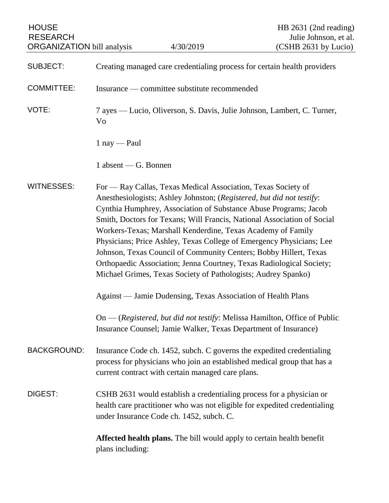| <b>HOUSE</b><br><b>RESEARCH</b><br><b>ORGANIZATION</b> bill analysis |                                                                                                                                                                                                                                                                                                                                                                                                                                                                                                                                                                                                                                                                                                            | 4/30/2019 | HB 2631 (2nd reading)<br>Julie Johnson, et al.<br>(CSHB 2631 by Lucio)       |
|----------------------------------------------------------------------|------------------------------------------------------------------------------------------------------------------------------------------------------------------------------------------------------------------------------------------------------------------------------------------------------------------------------------------------------------------------------------------------------------------------------------------------------------------------------------------------------------------------------------------------------------------------------------------------------------------------------------------------------------------------------------------------------------|-----------|------------------------------------------------------------------------------|
| <b>SUBJECT:</b>                                                      | Creating managed care credentialing process for certain health providers                                                                                                                                                                                                                                                                                                                                                                                                                                                                                                                                                                                                                                   |           |                                                                              |
| <b>COMMITTEE:</b>                                                    | Insurance — committee substitute recommended                                                                                                                                                                                                                                                                                                                                                                                                                                                                                                                                                                                                                                                               |           |                                                                              |
| VOTE:                                                                | 7 ayes — Lucio, Oliverson, S. Davis, Julie Johnson, Lambert, C. Turner,<br>Vo                                                                                                                                                                                                                                                                                                                                                                                                                                                                                                                                                                                                                              |           |                                                                              |
|                                                                      | $1$ nay — Paul                                                                                                                                                                                                                                                                                                                                                                                                                                                                                                                                                                                                                                                                                             |           |                                                                              |
|                                                                      | $1$ absent — G. Bonnen                                                                                                                                                                                                                                                                                                                                                                                                                                                                                                                                                                                                                                                                                     |           |                                                                              |
| <b>WITNESSES:</b>                                                    | For — Ray Callas, Texas Medical Association, Texas Society of<br>Anesthesiologists; Ashley Johnston; (Registered, but did not testify:<br>Cynthia Humphrey, Association of Substance Abuse Programs; Jacob<br>Smith, Doctors for Texans; Will Francis, National Association of Social<br>Workers-Texas; Marshall Kenderdine, Texas Academy of Family<br>Physicians; Price Ashley, Texas College of Emergency Physicians; Lee<br>Johnson, Texas Council of Community Centers; Bobby Hillert, Texas<br>Orthopaedic Association; Jenna Courtney, Texas Radiological Society;<br>Michael Grimes, Texas Society of Pathologists; Audrey Spanko)<br>Against — Jamie Dudensing, Texas Association of Health Plans |           |                                                                              |
|                                                                      | $On$ - (Registered, but did not testify: Melissa Hamilton, Office of Public<br>Insurance Counsel; Jamie Walker, Texas Department of Insurance)                                                                                                                                                                                                                                                                                                                                                                                                                                                                                                                                                             |           |                                                                              |
| <b>BACKGROUND:</b>                                                   | Insurance Code ch. 1452, subch. C governs the expedited credentialing<br>process for physicians who join an established medical group that has a<br>current contract with certain managed care plans.                                                                                                                                                                                                                                                                                                                                                                                                                                                                                                      |           |                                                                              |
| DIGEST:                                                              | CSHB 2631 would establish a credentialing process for a physician or<br>health care practitioner who was not eligible for expedited credentialing<br>under Insurance Code ch. 1452, subch. C.                                                                                                                                                                                                                                                                                                                                                                                                                                                                                                              |           |                                                                              |
|                                                                      | plans including:                                                                                                                                                                                                                                                                                                                                                                                                                                                                                                                                                                                                                                                                                           |           | <b>Affected health plans.</b> The bill would apply to certain health benefit |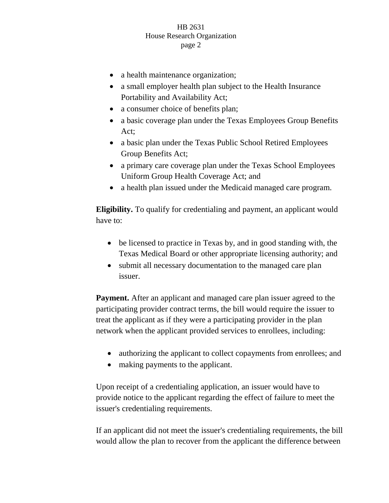## HB 2631 House Research Organization page 2

- a health maintenance organization;
- a small employer health plan subject to the Health Insurance Portability and Availability Act;
- a consumer choice of benefits plan;
- a basic coverage plan under the Texas Employees Group Benefits Act;
- a basic plan under the Texas Public School Retired Employees Group Benefits Act;
- a primary care coverage plan under the Texas School Employees Uniform Group Health Coverage Act; and
- a health plan issued under the Medicaid managed care program.

**Eligibility.** To qualify for credentialing and payment, an applicant would have to:

- be licensed to practice in Texas by, and in good standing with, the Texas Medical Board or other appropriate licensing authority; and
- submit all necessary documentation to the managed care plan issuer.

**Payment.** After an applicant and managed care plan issuer agreed to the participating provider contract terms, the bill would require the issuer to treat the applicant as if they were a participating provider in the plan network when the applicant provided services to enrollees, including:

- authorizing the applicant to collect copayments from enrollees; and
- making payments to the applicant.

Upon receipt of a credentialing application, an issuer would have to provide notice to the applicant regarding the effect of failure to meet the issuer's credentialing requirements.

If an applicant did not meet the issuer's credentialing requirements, the bill would allow the plan to recover from the applicant the difference between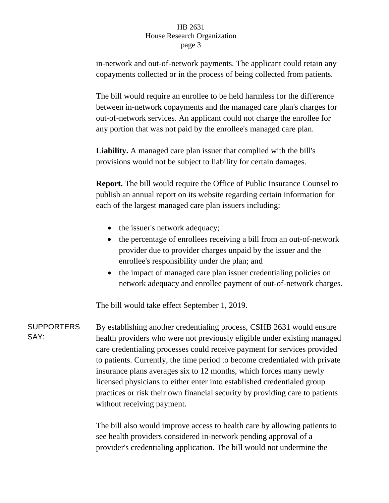## HB 2631 House Research Organization page 3

in-network and out-of-network payments. The applicant could retain any copayments collected or in the process of being collected from patients.

The bill would require an enrollee to be held harmless for the difference between in-network copayments and the managed care plan's charges for out-of-network services. An applicant could not charge the enrollee for any portion that was not paid by the enrollee's managed care plan.

**Liability.** A managed care plan issuer that complied with the bill's provisions would not be subject to liability for certain damages.

**Report.** The bill would require the Office of Public Insurance Counsel to publish an annual report on its website regarding certain information for each of the largest managed care plan issuers including:

- the issuer's network adequacy;
- the percentage of enrollees receiving a bill from an out-of-network provider due to provider charges unpaid by the issuer and the enrollee's responsibility under the plan; and
- the impact of managed care plan issuer credentialing policies on network adequacy and enrollee payment of out-of-network charges.

The bill would take effect September 1, 2019.

SUPPORTERS SAY: By establishing another credentialing process, CSHB 2631 would ensure health providers who were not previously eligible under existing managed care credentialing processes could receive payment for services provided to patients. Currently, the time period to become credentialed with private insurance plans averages six to 12 months, which forces many newly licensed physicians to either enter into established credentialed group practices or risk their own financial security by providing care to patients without receiving payment.

> The bill also would improve access to health care by allowing patients to see health providers considered in-network pending approval of a provider's credentialing application. The bill would not undermine the